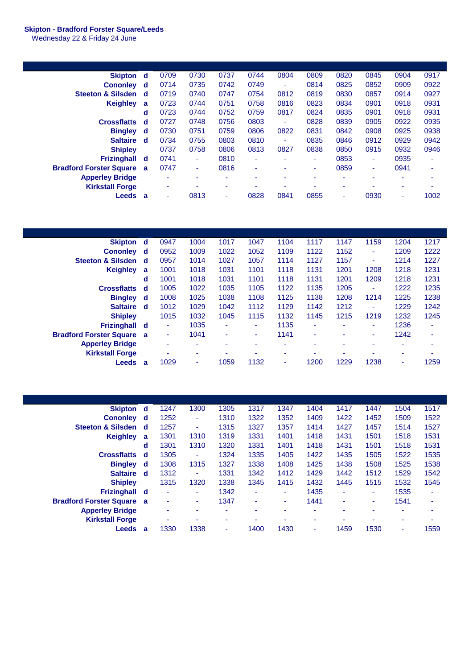## **Skipton - Bradford Forster Square/Leeds**

Wednesday 22 & Friday 24 June

| <b>Skipton</b>                 | d | 0709 | 0730 | 0737                     | 0744                     | 0804           | 0809 | 0820 | 0845                     | 0904 | 0917 |
|--------------------------------|---|------|------|--------------------------|--------------------------|----------------|------|------|--------------------------|------|------|
| <b>Cononley</b>                | d | 0714 | 0735 | 0742                     | 0749                     | $\blacksquare$ | 0814 | 0825 | 0852                     | 0909 | 0922 |
| <b>Steeton &amp; Silsden</b>   | d | 0719 | 0740 | 0747                     | 0754                     | 0812           | 0819 | 0830 | 0857                     | 0914 | 0927 |
| <b>Keighley</b>                | a | 0723 | 0744 | 0751                     | 0758                     | 0816           | 0823 | 0834 | 0901                     | 0918 | 0931 |
|                                | d | 0723 | 0744 | 0752                     | 0759                     | 0817           | 0824 | 0835 | 0901                     | 0918 | 0931 |
| <b>Crossflatts</b>             | d | 0727 | 0748 | 0756                     | 0803                     | ٠              | 0828 | 0839 | 0905                     | 0922 | 0935 |
| <b>Bingley</b>                 | d | 0730 | 0751 | 0759                     | 0806                     | 0822           | 0831 | 0842 | 0908                     | 0925 | 0938 |
| <b>Saltaire</b>                | d | 0734 | 0755 | 0803                     | 0810                     | ٠              | 0835 | 0846 | 0912                     | 0929 | 0942 |
| <b>Shipley</b>                 |   | 0737 | 0758 | 0806                     | 0813                     | 0827           | 0838 | 0850 | 0915                     | 0932 | 0946 |
| <b>Frizinghall</b>             | d | 0741 | ٠    | 0810                     | ٠                        |                | ٠    | 0853 | ٠                        | 0935 | ۰    |
| <b>Bradford Forster Square</b> | a | 0747 | ۰    | 0816                     | $\overline{\phantom{a}}$ | ٠              | ۰    | 0859 | ٠                        | 0941 | ۰    |
| <b>Apperley Bridge</b>         |   | ۰    | ٠    | ۰                        | $\overline{\phantom{a}}$ | ٠              | ٠    | ٠    | $\overline{\phantom{a}}$ | ٠    | ۰    |
| <b>Kirkstall Forge</b>         |   | ۰    | ۰    | $\overline{\phantom{a}}$ | ۰                        | ٠              | ٠    | ۰    | ۰                        | ۰    | ۰    |
| Leeds                          | a | ٠    | 0813 | ۰.                       | 0828                     | 0841           | 0855 | ٠    | 0930                     | ۰    | 1002 |

| Skipton d                        |          | 0947 | 1004 | 1017 | 1047 | 1104 | 1117                     | 1147 | 1159 | 1204 | 1217 |
|----------------------------------|----------|------|------|------|------|------|--------------------------|------|------|------|------|
| <b>Cononley</b>                  | ∣ d      | 0952 | 1009 | 1022 | 1052 | 1109 | 1122                     | 1152 | ٠    | 1209 | 1222 |
| <b>Steeton &amp; Silsden</b>     | ₫        | 0957 | 1014 | 1027 | 1057 | 1114 | 1127                     | 1157 | ٠    | 1214 | 1227 |
| <b>Keighley</b>                  | a        | 1001 | 1018 | 1031 | 1101 | 1118 | 1131                     | 1201 | 1208 | 1218 | 1231 |
|                                  | d        | 1001 | 1018 | 1031 | 1101 | 1118 | 1131                     | 1201 | 1209 | 1218 | 1231 |
| <b>Crossflatts</b>               | <b>d</b> | 1005 | 1022 | 1035 | 1105 | 1122 | 1135                     | 1205 | ٠    | 1222 | 1235 |
| <b>Bingley</b>                   | ∣ d      | 1008 | 1025 | 1038 | 1108 | 1125 | 1138                     | 1208 | 1214 | 1225 | 1238 |
| <b>Saltaire</b>                  | -d       | 1012 | 1029 | 1042 | 1112 | 1129 | 1142                     | 1212 | ٠    | 1229 | 1242 |
| <b>Shipley</b>                   |          | 1015 | 1032 | 1045 | 1115 | 1132 | 1145                     | 1215 | 1219 | 1232 | 1245 |
| <b>Frizinghall</b>               | ∣ d      |      | 1035 | ۰    | ۰    | 1135 | ٠                        |      |      | 1236 | ۰    |
| <b>Bradford Forster Square a</b> |          | ۰    | 1041 | ٠    | ۰    | 1141 | $\overline{\phantom{a}}$ |      | ۰.   | 1242 | ٠    |
| <b>Apperley Bridge</b>           |          | ۰    | ۰    | ۰    | ٠    | ۰    |                          |      | ۰    | ۰    | ۰    |
| <b>Kirkstall Forge</b>           |          |      | ۰    |      |      | ۰    |                          |      |      | ۰    | ۰    |
| <b>Leeds</b>                     | a        | 1029 | ۰    | 1059 | 1132 | ٠    | 1200                     | 1229 | 1238 | ۰    | 1259 |

| <b>Skipton</b>                   | ∣ d | 1247 | 1300 | 1305                     | 1317 | 1347 | 1404                     | 1417 | 1447 | 1504 | 1517 |
|----------------------------------|-----|------|------|--------------------------|------|------|--------------------------|------|------|------|------|
| <b>Cononley</b>                  | d   | 1252 | ٠    | 1310                     | 1322 | 1352 | 1409                     | 1422 | 1452 | 1509 | 1522 |
| <b>Steeton &amp; Silsden</b>     | ∣ d | 1257 | ٠    | 1315                     | 1327 | 1357 | 1414                     | 1427 | 1457 | 1514 | 1527 |
| <b>Keighley</b>                  | a   | 1301 | 1310 | 1319                     | 1331 | 1401 | 1418                     | 1431 | 1501 | 1518 | 1531 |
|                                  | d   | 1301 | 1310 | 1320                     | 1331 | 1401 | 1418                     | 1431 | 1501 | 1518 | 1531 |
| <b>Crossflatts</b>               | d   | 1305 | ٠    | 1324                     | 1335 | 1405 | 1422                     | 1435 | 1505 | 1522 | 1535 |
| <b>Bingley</b>                   | d   | 1308 | 1315 | 1327                     | 1338 | 1408 | 1425                     | 1438 | 1508 | 1525 | 1538 |
| <b>Saltaire</b>                  | - d | 1312 | ۰.   | 1331                     | 1342 | 1412 | 1429                     | 1442 | 1512 | 1529 | 1542 |
| <b>Shipley</b>                   |     | 1315 | 1320 | 1338                     | 1345 | 1415 | 1432                     | 1445 | 1515 | 1532 | 1545 |
| <b>Frizinghall</b>               | - d | ٠    | ٠    | 1342                     | ٠    | ٠    | 1435                     | ٠    | ٠    | 1535 | ٠    |
| <b>Bradford Forster Square a</b> |     | ٠    | ۰.   | 1347                     | ٠    | ٠    | 1441                     | ٠    | ٠    | 1541 | ۰    |
| <b>Apperley Bridge</b>           |     | ۰    |      | ٠                        | ۰    |      | -                        | -    | ٠    | ۰    | ۰    |
| <b>Kirkstall Forge</b>           |     | ۰    | ۰    | $\overline{\phantom{a}}$ | ٠    |      | $\overline{\phantom{a}}$ | ۰    | -    | ٠    | ۰    |
| <b>Leeds</b>                     | a   | 1330 | 1338 | $\overline{\phantom{a}}$ | 1400 | 1430 | ٠                        | 1459 | 1530 | ۰    | 1559 |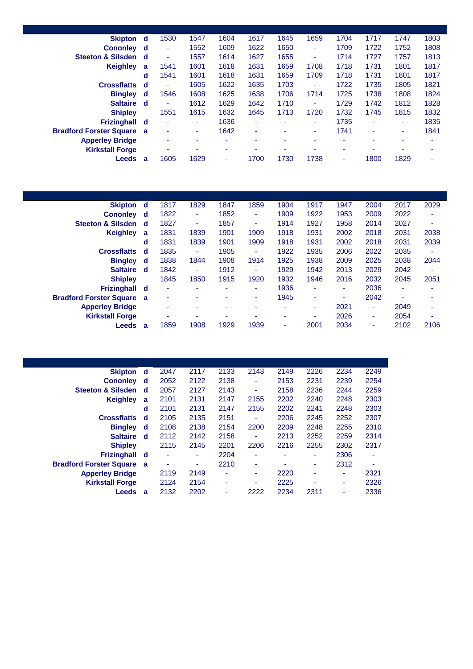| <b>Skipton</b>                   | d d      | 1530 | 1547 | 1604 | 1617           | 1645           | 1659 | 1704 | 1717 | 1747 | 1803 |
|----------------------------------|----------|------|------|------|----------------|----------------|------|------|------|------|------|
| <b>Cononley</b>                  | d d      | ۰    | 1552 | 1609 | 1622           | 1650           | ٠    | 1709 | 1722 | 1752 | 1808 |
| <b>Steeton &amp; Silsden</b>     | d        | ٠    | 1557 | 1614 | 1627           | 1655           | ٠    | 1714 | 1727 | 1757 | 1813 |
| <b>Keighley</b>                  | a        | 1541 | 1601 | 1618 | 1631           | 1659           | 1708 | 1718 | 1731 | 1801 | 1817 |
|                                  | d        | 1541 | 1601 | 1618 | 1631           | 1659           | 1709 | 1718 | 1731 | 1801 | 1817 |
| <b>Crossflatts</b>               | d.       | ٠    | 1605 | 1622 | 1635           | 1703           | ٠    | 1722 | 1735 | 1805 | 1821 |
| <b>Bingley</b>                   | <b>d</b> | 1546 | 1608 | 1625 | 1638           | 1706           | 1714 | 1725 | 1738 | 1808 | 1824 |
| <b>Saltaire</b>                  | d        | ٠    | 1612 | 1629 | 1642           | 1710           | ۰    | 1729 | 1742 | 1812 | 1828 |
| <b>Shipley</b>                   |          | 1551 | 1615 | 1632 | 1645           | 1713           | 1720 | 1732 | 1745 | 1815 | 1832 |
| <b>Frizinghall</b>               | d        | ۰    | ٠    | 1636 | ۰              | $\blacksquare$ | ٠    | 1735 | ۰    | ٠    | 1835 |
| <b>Bradford Forster Square</b> a |          | ٠    | ٠    | 1642 | $\blacksquare$ | ٠              | ٠    | 1741 | ٠    | ٠    | 1841 |
| <b>Apperley Bridge</b>           |          | ٠    | ۰    | ۰    | ۰              | $\blacksquare$ | ۰    | ۰    | ٠    | ٠    | ۰    |
| <b>Kirkstall Forge</b>           |          | -    | ۰    | ٠    | ۰              | ٠              | ۰    | ۰    | -    | ۰    |      |
| <b>Leeds</b>                     | a        | 1605 | 1629 | ٠    | 1700           | 1730           | 1738 | ۰    | 1800 | 1829 | ٠    |
|                                  |          |      |      |      |                |                |      |      |      |      |      |

| <b>Skipton</b>                 | d.       | 1817                     | 1829 | 1847 | 1859                     | 1904 | 1917 | 1947 | 2004 | 2017 | 2029 |
|--------------------------------|----------|--------------------------|------|------|--------------------------|------|------|------|------|------|------|
| <b>Cononley</b>                | d        | 1822                     | ۰.   | 1852 | ٠                        | 1909 | 1922 | 1953 | 2009 | 2022 | ٠    |
| <b>Steeton &amp; Silsden</b>   | ₫        | 1827                     | ٠    | 1857 | ٠                        | 1914 | 1927 | 1958 | 2014 | 2027 | ۰    |
| <b>Keighley</b>                | a        | 1831                     | 1839 | 1901 | 1909                     | 1918 | 1931 | 2002 | 2018 | 2031 | 2038 |
|                                | d        | 1831                     | 1839 | 1901 | 1909                     | 1918 | 1931 | 2002 | 2018 | 2031 | 2039 |
| <b>Crossflatts</b>             | d        | 1835                     | ۰.   | 1905 | $\overline{\phantom{a}}$ | 1922 | 1935 | 2006 | 2022 | 2035 | ٠    |
| <b>Bingley</b>                 | ∣d.      | 1838                     | 1844 | 1908 | 1914                     | 1925 | 1938 | 2009 | 2025 | 2038 | 2044 |
| <b>Saltaire</b>                | - d      | 1842                     | ۰    | 1912 | $\overline{\phantom{a}}$ | 1929 | 1942 | 2013 | 2029 | 2042 | ٠    |
| <b>Shipley</b>                 |          | 1845                     | 1850 | 1915 | 1920                     | 1932 | 1946 | 2016 | 2032 | 2045 | 2051 |
| <b>Frizinghall</b>             | ∣ d      | $\overline{\phantom{a}}$ |      | ۰    | ٠                        | 1936 | ۰    | ٠    | 2036 |      |      |
| <b>Bradford Forster Square</b> | <b>a</b> | ۰                        |      | ۰    | ٠                        | 1945 | ٠    | ٠    | 2042 |      |      |
| <b>Apperley Bridge</b>         |          | $\overline{\phantom{a}}$ |      | ۰    | $\overline{\phantom{a}}$ | ۰    | ۰    | 2021 | ۰.   | 2049 | ۰    |
| <b>Kirkstall Forge</b>         |          |                          | ۰    | ۰    | $\overline{\phantom{a}}$ | ۰    | ٠    | 2026 | ۰.   | 2054 | ۰    |
| <b>Leeds</b>                   | a        | 1859                     | 1908 | 1929 | 1939                     | ۰    | 2001 | 2034 | ۰    | 2102 | 2106 |

| <b>Skipton</b>                   | d | 2047 | 2117 | 2133 | 2143 | 2149 | 2226 | 2234 | 2249 |
|----------------------------------|---|------|------|------|------|------|------|------|------|
| <b>Cononley</b>                  | d | 2052 | 2122 | 2138 | ٠    | 2153 | 2231 | 2239 | 2254 |
| <b>Steeton &amp; Silsden</b>     | d | 2057 | 2127 | 2143 | ٠    | 2158 | 2236 | 2244 | 2259 |
| <b>Keighley</b>                  | a | 2101 | 2131 | 2147 | 2155 | 2202 | 2240 | 2248 | 2303 |
|                                  | d | 2101 | 2131 | 2147 | 2155 | 2202 | 2241 | 2248 | 2303 |
| <b>Crossflatts</b>               | d | 2105 | 2135 | 2151 | ٠    | 2206 | 2245 | 2252 | 2307 |
| <b>Bingley</b>                   | d | 2108 | 2138 | 2154 | 2200 | 2209 | 2248 | 2255 | 2310 |
| <b>Saltaire</b>                  | d | 2112 | 2142 | 2158 | ۰    | 2213 | 2252 | 2259 | 2314 |
| <b>Shipley</b>                   |   | 2115 | 2145 | 2201 | 2206 | 2216 | 2255 | 2302 | 2317 |
| Frizinghall d                    |   |      | ۰    | 2204 | ٠    | ۰    | ۰    | 2306 | ٠    |
| <b>Bradford Forster Square a</b> |   | ۰    | ۰    | 2210 | ٠    | ۰    | ۰    | 2312 | ٠    |
| <b>Apperley Bridge</b>           |   | 2119 | 2149 | ٠    | ٠    | 2220 | ۰    | ٠    | 2321 |
| <b>Kirkstall Forge</b>           |   | 2124 | 2154 | ۰    | ۰    | 2225 | ۰    | ۰    | 2326 |
| Leeds                            | a | 2132 | 2202 | -    | 2222 | 2234 | 2311 |      | 2336 |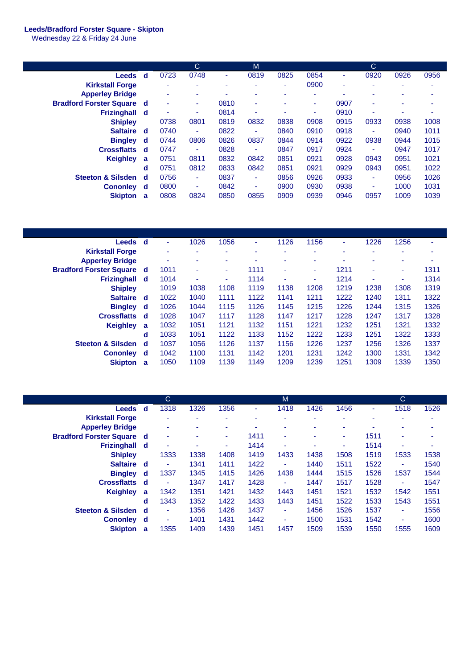## **Leeds/Bradford Forster Square - Skipton**

Wednesday 22 & Friday 24 June

|                                |          |      | C    |                          | M    |      |      |      | C    |      |      |
|--------------------------------|----------|------|------|--------------------------|------|------|------|------|------|------|------|
| Leeds d                        |          | 0723 | 0748 | ٠                        | 0819 | 0825 | 0854 | ٠    | 0920 | 0926 | 0956 |
| <b>Kirkstall Forge</b>         |          | ٠    |      | $\overline{\phantom{a}}$ | ٠    | ۰    | 0900 | ٠    |      |      | ۰    |
| <b>Apperley Bridge</b>         |          | ۰    |      |                          | ۰    | ۰    | ۰    | ۰    | -    |      | ۰    |
| <b>Bradford Forster Square</b> | d.       | ٠    | ۰    | 0810                     | ٠    |      | ۰    | 0907 | ۰    |      | ۰    |
| <b>Frizinghall</b>             | _d       | ۰    | ۰    | 0814                     | ٠    |      | ٠    | 0910 | ۰    | ٠    | ۰    |
| <b>Shipley</b>                 |          | 0738 | 0801 | 0819                     | 0832 | 0838 | 0908 | 0915 | 0933 | 0938 | 1008 |
| <b>Saltaire</b>                | d        | 0740 | ٠    | 0822                     | ٠    | 0840 | 0910 | 0918 | ٠    | 0940 | 1011 |
| <b>Bingley</b>                 | d        | 0744 | 0806 | 0826                     | 0837 | 0844 | 0914 | 0922 | 0938 | 0944 | 1015 |
| <b>Crossflatts</b>             | d        | 0747 | ٠    | 0828                     | ٠    | 0847 | 0917 | 0924 | ٠    | 0947 | 1017 |
| <b>Keighley</b>                | a        | 0751 | 0811 | 0832                     | 0842 | 0851 | 0921 | 0928 | 0943 | 0951 | 1021 |
|                                | d        | 0751 | 0812 | 0833                     | 0842 | 0851 | 0921 | 0929 | 0943 | 0951 | 1022 |
| <b>Steeton &amp; Silsden</b>   | -d       | 0756 | ۰.   | 0837                     | ٠    | 0856 | 0926 | 0933 | ٠    | 0956 | 1026 |
| <b>Cononley</b>                | <b>d</b> | 0800 | ۰    | 0842                     | ٠    | 0900 | 0930 | 0938 | ۰    | 1000 | 1031 |
| <b>Skipton</b>                 | a        | 0808 | 0824 | 0850                     | 0855 | 0909 | 0939 | 0946 | 0957 | 1009 | 1039 |

| <b>Leeds</b>                     | ∣ d |      | 1026 | 1056 | ٠    | 1126 | 1156 | ٠    | 1226 | 1256 | ۰    |
|----------------------------------|-----|------|------|------|------|------|------|------|------|------|------|
| <b>Kirkstall Forge</b>           |     |      | ۰    | ٠    | ۰    | ۰    | ٠    |      | ٠    | ۰    | ۰    |
| <b>Apperley Bridge</b>           |     | ۰    | ۰    | ۰    | ۰    | ٠    | ۰    |      | ۰    | ۰    | ۰    |
| <b>Bradford Forster Square d</b> |     | 1011 | ٠    | ٠    | 1111 | ٠    | ٠    | 1211 | ٠    | ٠    | 1311 |
| <b>Frizinghall</b>               | ∣d  | 1014 | ٠    | ۰    | 1114 | ٠    | ۰    | 1214 | ۰    | ۰    | 1314 |
| <b>Shipley</b>                   |     | 1019 | 1038 | 1108 | 1119 | 1138 | 1208 | 1219 | 1238 | 1308 | 1319 |
| <b>Saltaire</b>                  | - d | 1022 | 1040 | 1111 | 1122 | 1141 | 1211 | 1222 | 1240 | 1311 | 1322 |
| <b>Bingley</b>                   | ∣ d | 1026 | 1044 | 1115 | 1126 | 1145 | 1215 | 1226 | 1244 | 1315 | 1326 |
| <b>Crossflatts</b>               | - d | 1028 | 1047 | 1117 | 1128 | 1147 | 1217 | 1228 | 1247 | 1317 | 1328 |
| <b>Keighley</b>                  | a   | 1032 | 1051 | 1121 | 1132 | 1151 | 1221 | 1232 | 1251 | 1321 | 1332 |
|                                  | d   | 1033 | 1051 | 1122 | 1133 | 1152 | 1222 | 1233 | 1251 | 1322 | 1333 |
| <b>Steeton &amp; Silsden</b>     | - d | 1037 | 1056 | 1126 | 1137 | 1156 | 1226 | 1237 | 1256 | 1326 | 1337 |
| <b>Cononley</b>                  | - d | 1042 | 1100 | 1131 | 1142 | 1201 | 1231 | 1242 | 1300 | 1331 | 1342 |
| <b>Skipton</b>                   | a   | 1050 | 1109 | 1139 | 1149 | 1209 | 1239 | 1251 | 1309 | 1339 | 1350 |

|                                  |     | C    |      |                          |      | M    |      |      |      | C                        |      |
|----------------------------------|-----|------|------|--------------------------|------|------|------|------|------|--------------------------|------|
| Leeds d                          |     | 1318 | 1326 | 1356                     | ۰    | 1418 | 1426 | 1456 |      | 1518                     | 1526 |
| <b>Kirkstall Forge</b>           |     | ٠    | ۰    | $\overline{\phantom{a}}$ |      | ۰    | ۰    | ٠    |      |                          | ۰    |
| <b>Apperley Bridge</b>           |     | ٠    |      | ۰                        |      | ٠    | ۰    | ۰    |      |                          | ۰    |
| <b>Bradford Forster Square d</b> |     | ۰    |      | ٠                        | 1411 | ٠    | ٠    | ٠    | 1511 | ٠                        | ۰    |
| Frizinghall d                    |     | ۰    |      | ٠                        | 1414 | ۰    | ۰    | ٠    | 1514 | ۰                        | ٠    |
| <b>Shipley</b>                   |     | 1333 | 1338 | 1408                     | 1419 | 1433 | 1438 | 1508 | 1519 | 1533                     | 1538 |
| Saltaire d                       |     | ٠    | 1341 | 1411                     | 1422 | ٠    | 1440 | 1511 | 1522 | $\overline{\phantom{a}}$ | 1540 |
| <b>Bingley</b>                   | d,  | 1337 | 1345 | 1415                     | 1426 | 1438 | 1444 | 1515 | 1526 | 1537                     | 1544 |
| <b>Crossflatts</b>               | ∣ d | ٠    | 1347 | 1417                     | 1428 | ٠    | 1447 | 1517 | 1528 | ٠                        | 1547 |
| <b>Keighley</b>                  | a   | 1342 | 1351 | 1421                     | 1432 | 1443 | 1451 | 1521 | 1532 | 1542                     | 1551 |
|                                  | d   | 1343 | 1352 | 1422                     | 1433 | 1443 | 1451 | 1522 | 1533 | 1543                     | 1551 |
| <b>Steeton &amp; Silsden</b>     | ∣ d | ۰    | 1356 | 1426                     | 1437 | ۰    | 1456 | 1526 | 1537 | $\overline{\phantom{a}}$ | 1556 |
| Cononley d                       |     | ۰    | 1401 | 1431                     | 1442 | ۰    | 1500 | 1531 | 1542 | $\overline{\phantom{a}}$ | 1600 |
| <b>Skipton</b>                   | a   | 1355 | 1409 | 1439                     | 1451 | 1457 | 1509 | 1539 | 1550 | 1555                     | 1609 |